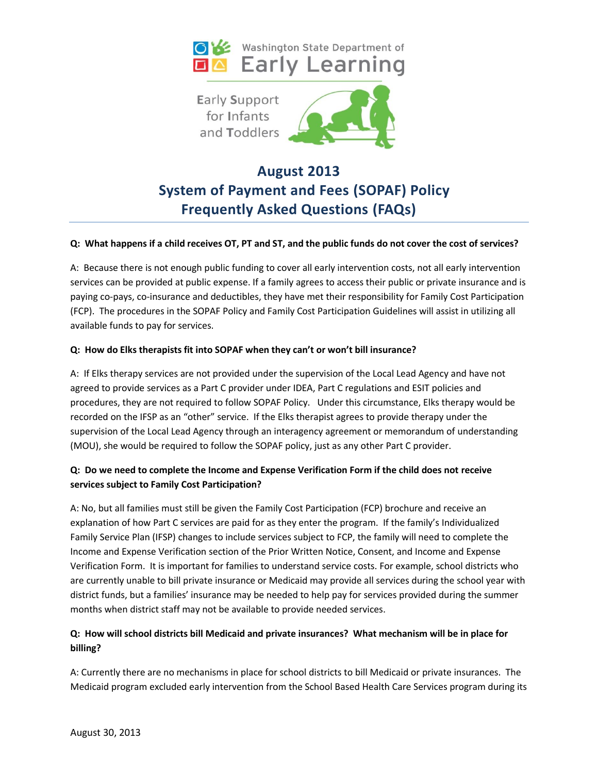



# **August 2013 System of Payment and Fees (SOPAF) Policy Frequently Asked Questions (FAQs)**

#### **Q: What happens if a child receives OT, PT and ST, and the public funds do not cover the cost of services?**

A: Because there is not enough public funding to cover all early intervention costs, not all early intervention services can be provided at public expense. If a family agrees to access their public or private insurance and is paying co-pays, co-insurance and deductibles, they have met their responsibility for Family Cost Participation (FCP). The procedures in the SOPAF Policy and Family Cost Participation Guidelines will assist in utilizing all available funds to pay for services.

#### **Q: How do Elks therapists fit into SOPAF when they can't or won't bill insurance?**

A: If Elks therapy services are not provided under the supervision of the Local Lead Agency and have not agreed to provide services as a Part C provider under IDEA, Part C regulations and ESIT policies and procedures, they are not required to follow SOPAF Policy. Under this circumstance, Elks therapy would be recorded on the IFSP as an "other" service. If the Elks therapist agrees to provide therapy under the supervision of the Local Lead Agency through an interagency agreement or memorandum of understanding (MOU), she would be required to follow the SOPAF policy, just as any other Part C provider.

## **Q: Do we need to complete the Income and Expense Verification Form if the child does not receive services subject to Family Cost Participation?**

A: No, but all families must still be given the Family Cost Participation (FCP) brochure and receive an explanation of how Part C services are paid for as they enter the program. If the family's Individualized Family Service Plan (IFSP) changes to include services subject to FCP, the family will need to complete the Income and Expense Verification section of the Prior Written Notice, Consent, and Income and Expense Verification Form. It is important for families to understand service costs. For example, school districts who are currently unable to bill private insurance or Medicaid may provide all services during the school year with district funds, but a families' insurance may be needed to help pay for services provided during the summer months when district staff may not be available to provide needed services.

## **Q: How will school districts bill Medicaid and private insurances? What mechanism will be in place for billing?**

A: Currently there are no mechanisms in place for school districts to bill Medicaid or private insurances. The Medicaid program excluded early intervention from the School Based Health Care Services program during its